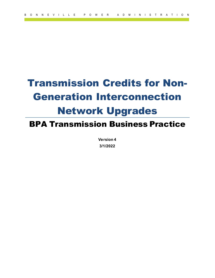# Transmission Credits for Non-Generation Interconnection Network Upgrades

## BPA Transmission Business Practice

**Version 4 3/1/2022**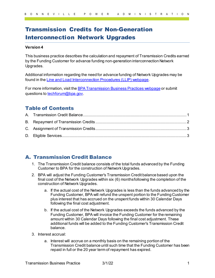### Transmission Credits for Non-Generation Interconnection Network Upgrades

#### **Version 4**

This business practice describes the calculation and repayment of Transmission Credits earned by the Funding Customer for advance funding non-generation interconnection Network Upgrades.

Additional information regarding the need for advance funding of Network Upgrades may be found in th[e Line and Load Interconnection Procedures \(LLIP\)](https://www.bpa.gov/energy-and-services/transmission/interconnection/line-and-load) webpage.

For more information, visit the **BPA Transmission Business Practices webpage** or submit questions t[o techforum@bpa.gov](mailto:techforum@bpa.gov).

#### Table of Contents

#### <span id="page-1-0"></span>A. Transmission Credit Balance

- 1. The Transmission Credit balance consists of the total funds advanced by the Funding Customer to BPA for the construction of Network Upgrades.
- 2. BPA will adjust the Funding Customer's Transmission Credit balance based upon the final cost of the Network Upgrades within six (6) monthsfollowing the completion of the construction of Network Upgrades.
	- a. If the actual cost of the Network Upgrades is less than the funds advanced by the Funding Customer, BPA will refund the unspent portion to the Funding Customer plus interest that has accrued on the unspent funds within 30 Calendar Days following the final cost adjustment.
	- b. If the actual cost of the Network Upgrades exceeds the funds advanced by the Funding Customer, BPA will invoice the Funding Customer for the remaining amount within 30 Calendar Days following the final cost adjustment. These additional funds will be added to the Funding Customer's Transmission Credit balance.
- 3. Interest accrual:
	- a. Interest will accrue on a monthly basis on the remaining portion of the Transmission Credit balance until such time that the Funding Customer has been repaid in full or the 20 year term of repayment has expired.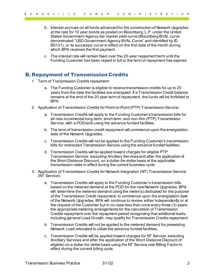- b. Interest accrues on all funds advanced for the construction of Network Upgrades at the rate for 10 year bonds as posted on Bloomberg, L.P. under the United States Government Agency fair market yield curve (Bloomberg BVAL curve denominated "USD Government Agency BVAL Curve" and identified by ID BS131), or its successor curve in effect on the first date of the month during which BPA receives the first payment.
- c. The interest rate will remain fixed over the 20-year repayment term until the Funding Customer has been repaid in full or the term of repayment has expired.

#### <span id="page-2-0"></span>B. Repayment of Transmission Credits

- 1. Term of Transmission Credits repayment:
	- a. The Funding Customer is eligible to receive transmission credits for up to 20 years from the date the facilities are energized. If a Transmission Credit balance remains at the end of the 20 year term of repayment, the funds will be forfeited to BPA.
- 2. Application of Transmission Credits for Point-to-Point (PTP) Transmission Service:
	- a. Transmission Credits will apply to the Funding Customer's transmission bills for all new incremental long-term, short-term, and non-firm (PTP) Transmission Service, with a POD/sink using the advance funded facilities.
	- b. The term of transmission credit repayment will commence upon the energization date of the Network Upgrades.
	- c. Transmission Credits will not be applied to the Funding Customer's transmission bills for redirected Transmission Service using the advance funded facilities.
	- d. Transmission Credits will be applied toward charges for eligible PTP Transmission Service, excluding Ancillary Services and after the application of the Short Distance Discount, on a dollar-for-dollar basis at the applicable transmission rates in effect during the current business cycle.
- 3. Application of Transmission Credits for Network Integration (NT) Transmission Service (NT Service):
	- a. Transmission Credits will apply to the Funding Customer's transmission bills based on the metered demand at the POD for the new Network Upgrades. BPA will determine the metered demand using the meter(s) dedicated for the purpose of the Transmission Credit repayment, to commence upon the energization date of the Network Upgrades. BPA will continue to review, either independently or at the request of the Customer but in no case less than once every three (3) years, the appropriate metering arrangements for the calculation of Transmission Credits repayment over the repayment period recognizing that additional loads, including general Load Growth, may qualify for Transmission Credits repayment.
	- b. Transmission Credits will not be applied to the metered demand for preexisting Network Load relocated to utilize the advance funded facilities.
	- c. Transmission Credits will be applied toward charges for NT Service, excluding Ancillary Services and after the application of the Short Distance Discount (if eligible) on a dollar-for-dollar basis using the NT Service rate Billing Factor in effect during the current billing cycle.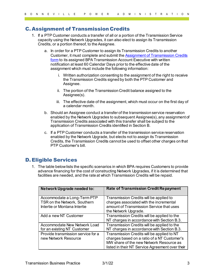#### <span id="page-3-0"></span>C. Assignment of Transmission Credits

- 1. If a PTP Customer conducts a transfer of all or a portion of the Transmission Service capacity using the Network Upgrades, it can also elect to assign its Transmission Credits, or a portion thereof, to theAssignee.
	- a. In order for a PTP Customer to assign its Transmission Credits to another Customer, it must complete and submit the [Assignment of Transmission Credits](https://www.bpa.gov/energy-and-services/transmission/business-practices/forms) [form](https://www.bpa.gov/energy-and-services/transmission/business-practices/forms) to its assigned BPA Transmission Account Executive with written notification at least 60 Calendar Days prior to the effective date of the assignment which must include the following information:
		- i. Written authorization consenting to the assignment of the right to receive the Transmission Credits signed by both the PTP Customer and Assignee.
		- ii. The portion of the Transmission Credit balance assigned to the Assignee(s).
		- iii. The effective date of the assignment, which must occur on the first day of a calendar month.
	- b. Should an Assignee conduct a transfer of the transmission service reservation enabled by the Network Upgrades to subsequent Assignee(s), any assignment of Transmission Credits associated with this transfer shall be subject to the application of Transmission Credits identified in Section B.
	- c. If a PTP Customer conducts a transfer of the transmission service reservation enabled by the Network Upgrade, but elects not to assign its Transmission Credits, the Transmission Credits cannot be used to offset other charges on that PTP Customer's bill.

#### <span id="page-3-1"></span>D. Eligible Services

1. The table below lists the specific scenarios in which BPA requires Customers to provide advance financing for the cost of constructing Network Upgrades, if it is determined that facilities are needed, and the rate at which Transmission Credits will be repaid.

| Network Upgrade needed to:                                                                  | <b>Rate of Transmission Credit Repayment</b>                                                                                                                                            |
|---------------------------------------------------------------------------------------------|-----------------------------------------------------------------------------------------------------------------------------------------------------------------------------------------|
| Accommodate a Long-Term PTP<br>TSR on the Network, Southern<br>Intertie or Montana Intertie | Transmission Credits will be applied to<br>charges associated with the incremental<br>amount of Transmission Service that uses<br>the Network Upgrade.                                  |
| Add a new NT Customer                                                                       | Transmission Credits will be applied to the<br>NT charges in accordance with Section B.3.                                                                                               |
| Accommodate New Network Load<br>for an existing NT Customer                                 | Transmission Credits will be applied to the<br>NT charges in accordance with Section B.3.                                                                                               |
| Provide transmission service for a<br>new Network Resource                                  | Transmission Credits will be applied to NT<br>charges based on a ratio of a NT Customer's<br>MW share of the new Network Resource as<br>listed in their NT Service Agreement over their |